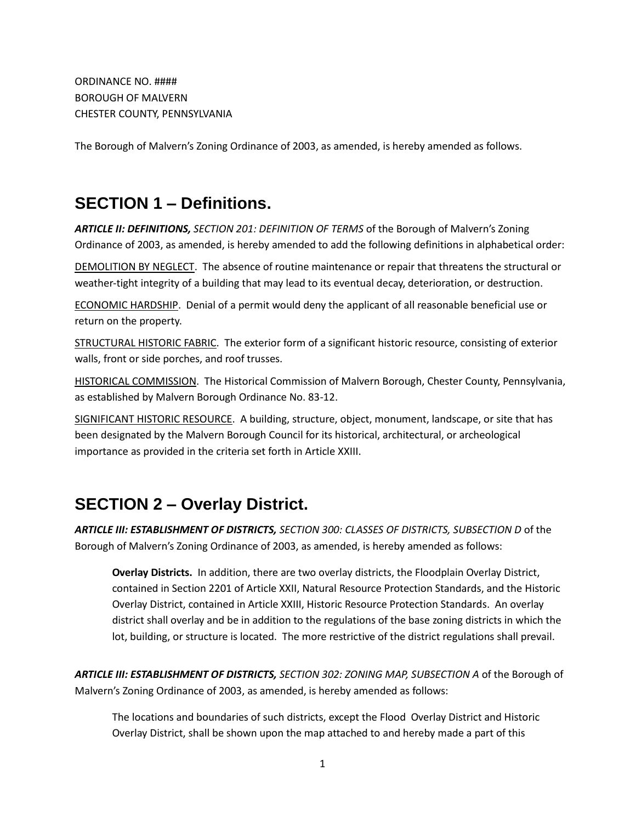ORDINANCE NO. #### BOROUGH OF MALVERN CHESTER COUNTY, PENNSYLVANIA

The Borough of Malvern's Zoning Ordinance of 2003, as amended, is hereby amended as follows.

## **SECTION 1 – Definitions.**

*ARTICLE II: DEFINITIONS, SECTION 201: DEFINITION OF TERMS* of the Borough of Malvern's Zoning Ordinance of 2003, as amended, is hereby amended to add the following definitions in alphabetical order:

DEMOLITION BY NEGLECT. The absence of routine maintenance or repair that threatens the structural or weather-tight integrity of a building that may lead to its eventual decay, deterioration, or destruction.

ECONOMIC HARDSHIP. Denial of a permit would deny the applicant of all reasonable beneficial use or return on the property.

STRUCTURAL HISTORIC FABRIC. The exterior form of a significant historic resource, consisting of exterior walls, front or side porches, and roof trusses.

HISTORICAL COMMISSION. The Historical Commission of Malvern Borough, Chester County, Pennsylvania, as established by Malvern Borough Ordinance No. 83-12.

SIGNIFICANT HISTORIC RESOURCE. A building, structure, object, monument, landscape, or site that has been designated by the Malvern Borough Council for its historical, architectural, or archeological importance as provided in the criteria set forth in Article XXIII.

# **SECTION 2 – Overlay District.**

*ARTICLE III: ESTABLISHMENT OF DISTRICTS, SECTION 300: CLASSES OF DISTRICTS, SUBSECTION D* of the Borough of Malvern's Zoning Ordinance of 2003, as amended, is hereby amended as follows:

**Overlay Districts.** In addition, there are two overlay districts, the Floodplain Overlay District, contained in Section 2201 of Article XXII, Natural Resource Protection Standards, and the Historic Overlay District, contained in Article XXIII, Historic Resource Protection Standards. An overlay district shall overlay and be in addition to the regulations of the base zoning districts in which the lot, building, or structure is located. The more restrictive of the district regulations shall prevail.

*ARTICLE III: ESTABLISHMENT OF DISTRICTS, SECTION 302: ZONING MAP, SUBSECTION A* of the Borough of Malvern's Zoning Ordinance of 2003, as amended, is hereby amended as follows:

The locations and boundaries of such districts, except the Flood Overlay District and Historic Overlay District, shall be shown upon the map attached to and hereby made a part of this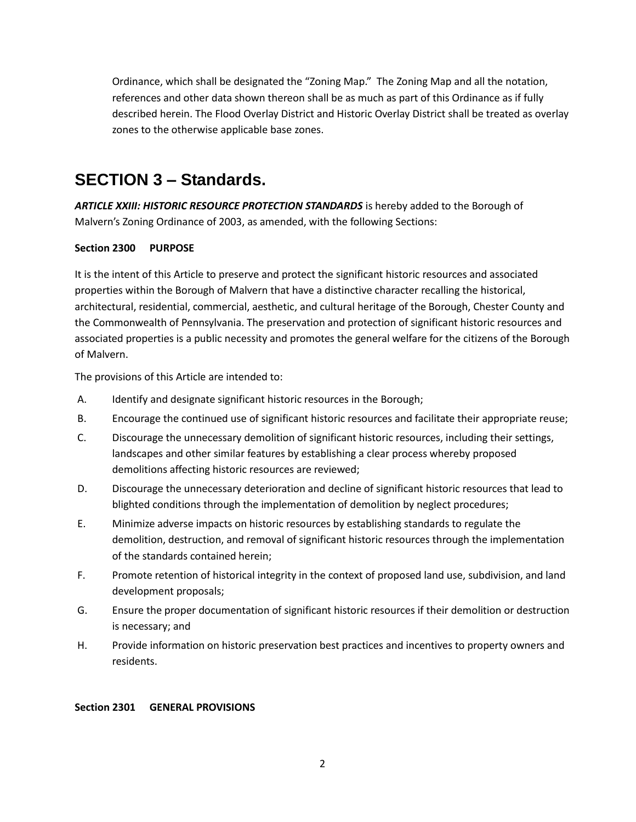Ordinance, which shall be designated the "Zoning Map." The Zoning Map and all the notation, references and other data shown thereon shall be as much as part of this Ordinance as if fully described herein. The Flood Overlay District and Historic Overlay District shall be treated as overlay zones to the otherwise applicable base zones.

## **SECTION 3 – Standards.**

*ARTICLE XXIII: HISTORIC RESOURCE PROTECTION STANDARDS* is hereby added to the Borough of Malvern's Zoning Ordinance of 2003, as amended, with the following Sections:

## **Section 2300 PURPOSE**

It is the intent of this Article to preserve and protect the significant historic resources and associated properties within the Borough of Malvern that have a distinctive character recalling the historical, architectural, residential, commercial, aesthetic, and cultural heritage of the Borough, Chester County and the Commonwealth of Pennsylvania. The preservation and protection of significant historic resources and associated properties is a public necessity and promotes the general welfare for the citizens of the Borough of Malvern.

The provisions of this Article are intended to:

- A. Identify and designate significant historic resources in the Borough;
- B. Encourage the continued use of significant historic resources and facilitate their appropriate reuse;
- C. Discourage the unnecessary demolition of significant historic resources, including their settings, landscapes and other similar features by establishing a clear process whereby proposed demolitions affecting historic resources are reviewed;
- D. Discourage the unnecessary deterioration and decline of significant historic resources that lead to blighted conditions through the implementation of demolition by neglect procedures;
- E. Minimize adverse impacts on historic resources by establishing standards to regulate the demolition, destruction, and removal of significant historic resources through the implementation of the standards contained herein;
- F. Promote retention of historical integrity in the context of proposed land use, subdivision, and land development proposals;
- G. Ensure the proper documentation of significant historic resources if their demolition or destruction is necessary; and
- H. Provide information on historic preservation best practices and incentives to property owners and residents.

#### **Section 2301 GENERAL PROVISIONS**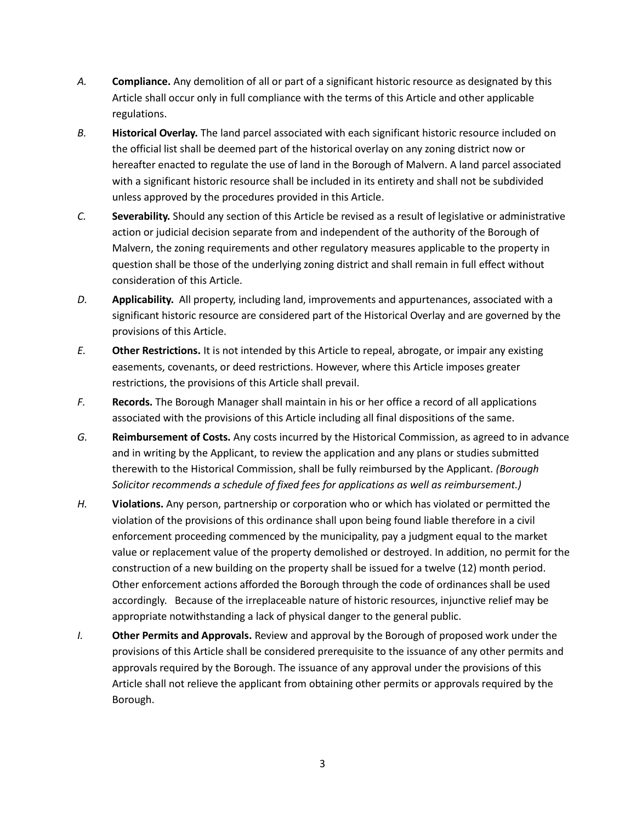- *A.* **Compliance.** Any demolition of all or part of a significant historic resource as designated by this Article shall occur only in full compliance with the terms of this Article and other applicable regulations.
- *B.* **Historical Overlay.** The land parcel associated with each significant historic resource included on the official list shall be deemed part of the historical overlay on any zoning district now or hereafter enacted to regulate the use of land in the Borough of Malvern. A land parcel associated with a significant historic resource shall be included in its entirety and shall not be subdivided unless approved by the procedures provided in this Article.
- *C.* **Severability.** Should any section of this Article be revised as a result of legislative or administrative action or judicial decision separate from and independent of the authority of the Borough of Malvern, the zoning requirements and other regulatory measures applicable to the property in question shall be those of the underlying zoning district and shall remain in full effect without consideration of this Article.
- *D.* **Applicability.** All property, including land, improvements and appurtenances, associated with a significant historic resource are considered part of the Historical Overlay and are governed by the provisions of this Article.
- *E.* **Other Restrictions.** It is not intended by this Article to repeal, abrogate, or impair any existing easements, covenants, or deed restrictions. However, where this Article imposes greater restrictions, the provisions of this Article shall prevail.
- *F.* **Records.** The Borough Manager shall maintain in his or her office a record of all applications associated with the provisions of this Article including all final dispositions of the same.
- *G.* **Reimbursement of Costs.** Any costs incurred by the Historical Commission, as agreed to in advance and in writing by the Applicant, to review the application and any plans or studies submitted therewith to the Historical Commission, shall be fully reimbursed by the Applicant. *(Borough Solicitor recommends a schedule of fixed fees for applications as well as reimbursement.)*
- *H.* **Violations.** Any person, partnership or corporation who or which has violated or permitted the violation of the provisions of this ordinance shall upon being found liable therefore in a civil enforcement proceeding commenced by the municipality, pay a judgment equal to the market value or replacement value of the property demolished or destroyed. In addition, no permit for the construction of a new building on the property shall be issued for a twelve (12) month period. Other enforcement actions afforded the Borough through the code of ordinances shall be used accordingly. Because of the irreplaceable nature of historic resources, injunctive relief may be appropriate notwithstanding a lack of physical danger to the general public.
- *I.* **Other Permits and Approvals.** Review and approval by the Borough of proposed work under the provisions of this Article shall be considered prerequisite to the issuance of any other permits and approvals required by the Borough. The issuance of any approval under the provisions of this Article shall not relieve the applicant from obtaining other permits or approvals required by the Borough.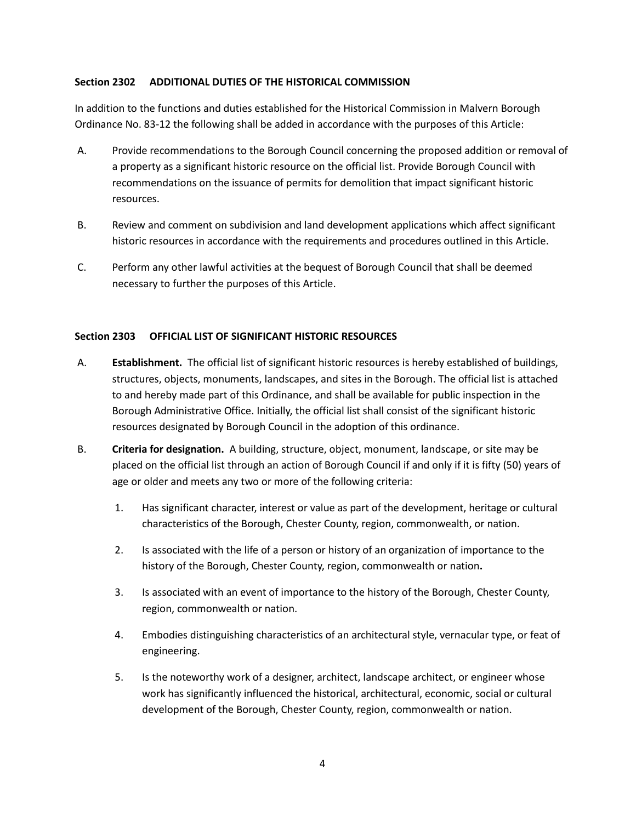#### **Section 2302 ADDITIONAL DUTIES OF THE HISTORICAL COMMISSION**

In addition to the functions and duties established for the Historical Commission in Malvern Borough Ordinance No. 83-12 the following shall be added in accordance with the purposes of this Article:

- A. Provide recommendations to the Borough Council concerning the proposed addition or removal of a property as a significant historic resource on the official list. Provide Borough Council with recommendations on the issuance of permits for demolition that impact significant historic resources.
- B. Review and comment on subdivision and land development applications which affect significant historic resources in accordance with the requirements and procedures outlined in this Article.
- C. Perform any other lawful activities at the bequest of Borough Council that shall be deemed necessary to further the purposes of this Article.

#### **Section 2303 OFFICIAL LIST OF SIGNIFICANT HISTORIC RESOURCES**

- A. **Establishment.** The official list of significant historic resources is hereby established of buildings, structures, objects, monuments, landscapes, and sites in the Borough. The official list is attached to and hereby made part of this Ordinance, and shall be available for public inspection in the Borough Administrative Office. Initially, the official list shall consist of the significant historic resources designated by Borough Council in the adoption of this ordinance.
- B. **Criteria for designation.** A building, structure, object, monument, landscape, or site may be placed on the official list through an action of Borough Council if and only if it is fifty (50) years of age or older and meets any two or more of the following criteria:
	- 1. Has significant character, interest or value as part of the development, heritage or cultural characteristics of the Borough, Chester County, region, commonwealth, or nation.
	- 2. Is associated with the life of a person or history of an organization of importance to the history of the Borough, Chester County, region, commonwealth or nation**.**
	- 3. Is associated with an event of importance to the history of the Borough, Chester County, region, commonwealth or nation.
	- 4. Embodies distinguishing characteristics of an architectural style, vernacular type, or feat of engineering.
	- 5. Is the noteworthy work of a designer, architect, landscape architect, or engineer whose work has significantly influenced the historical, architectural, economic, social or cultural development of the Borough, Chester County, region, commonwealth or nation.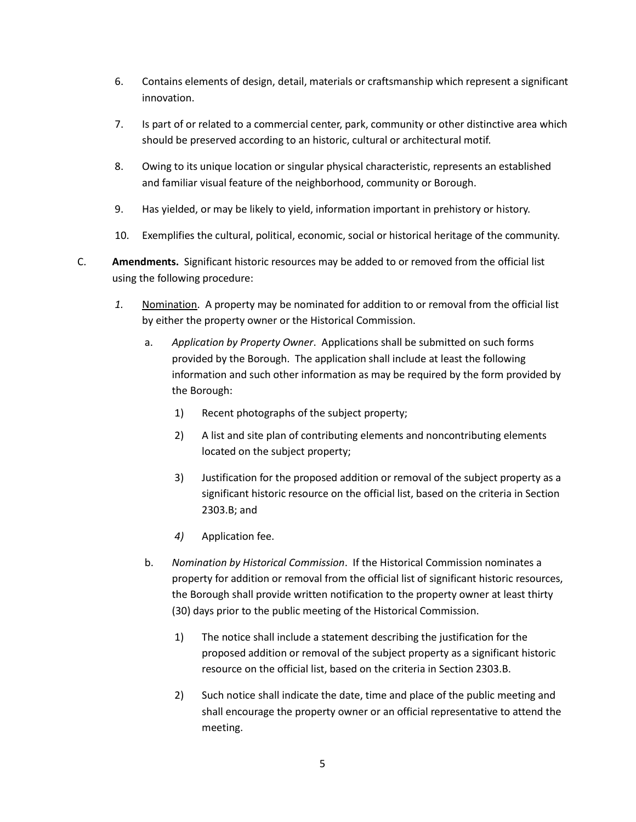- 6. Contains elements of design, detail, materials or craftsmanship which represent a significant innovation.
- 7. Is part of or related to a commercial center, park, community or other distinctive area which should be preserved according to an historic, cultural or architectural motif.
- 8. Owing to its unique location or singular physical characteristic, represents an established and familiar visual feature of the neighborhood, community or Borough.
- 9. Has yielded, or may be likely to yield, information important in prehistory or history.
- 10. Exemplifies the cultural, political, economic, social or historical heritage of the community.
- C. **Amendments.** Significant historic resources may be added to or removed from the official list using the following procedure:
	- *1.* Nomination. A property may be nominated for addition to or removal from the official list by either the property owner or the Historical Commission.
		- a. *Application by Property Owner*. Applications shall be submitted on such forms provided by the Borough. The application shall include at least the following information and such other information as may be required by the form provided by the Borough:
			- 1) Recent photographs of the subject property;
			- 2) A list and site plan of contributing elements and noncontributing elements located on the subject property;
			- 3) Justification for the proposed addition or removal of the subject property as a significant historic resource on the official list, based on the criteria in Section 2303.B; and
			- *4)* Application fee.
		- b. *Nomination by Historical Commission*. If the Historical Commission nominates a property for addition or removal from the official list of significant historic resources, the Borough shall provide written notification to the property owner at least thirty (30) days prior to the public meeting of the Historical Commission.
			- 1) The notice shall include a statement describing the justification for the proposed addition or removal of the subject property as a significant historic resource on the official list, based on the criteria in Section 2303.B.
			- 2) Such notice shall indicate the date, time and place of the public meeting and shall encourage the property owner or an official representative to attend the meeting.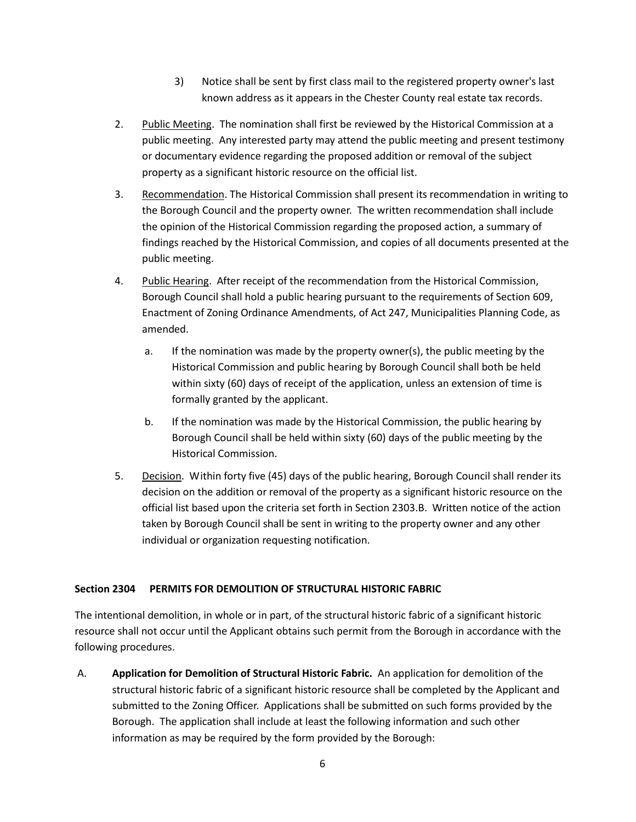- 3) Notice shall be sent by first class mail to the registered property owner's last known address as it appears in the Chester County real estate tax records.
- 2. Public Meeting. The nomination shall first be reviewed by the Historical Commission at a public meeting. Any interested party may attend the public meeting and present testimony or documentary evidence regarding the proposed addition or removal of the subject property as a significant historic resource on the official list.
- 3. Recommendation. The Historical Commission shall present its recommendation in writing to the Borough Council and the property owner. The written recommendation shall include the opinion of the Historical Commission regarding the proposed action, a summary of findings reached by the Historical Commission, and copies of all documents presented at the public meeting.
- 4. Public Hearing. After receipt of the recommendation from the Historical Commission, Borough Council shall hold a public hearing pursuant to the requirements of Section 609, Enactment of Zoning Ordinance Amendments, of Act 247, Municipalities Planning Code, as amended.
	- a. If the nomination was made by the property owner(s), the public meeting by the Historical Commission and public hearing by Borough Council shall both be held within sixty (60) days of receipt of the application, unless an extension of time is formally granted by the applicant.
	- b. If the nomination was made by the Historical Commission, the public hearing by Borough Council shall be held within sixty (60) days of the public meeting by the Historical Commission.
- 5. Decision. Within forty five (45) days of the public hearing, Borough Council shall render its decision on the addition or removal of the property as a significant historic resource on the official list based upon the criteria set forth in Section 2303.B. Written notice of the action taken by Borough Council shall be sent in writing to the property owner and any other individual or organization requesting notification.

## **Section 2304 PERMITS FOR DEMOLITION OF STRUCTURAL HISTORIC FABRIC**

The intentional demolition, in whole or in part, of the structural historic fabric of a significant historic resource shall not occur until the Applicant obtains such permit from the Borough in accordance with the following procedures.

A. **Application for Demolition of Structural Historic Fabric.** An application for demolition of the structural historic fabric of a significant historic resource shall be completed by the Applicant and submitted to the Zoning Officer. Applications shall be submitted on such forms provided by the Borough. The application shall include at least the following information and such other information as may be required by the form provided by the Borough: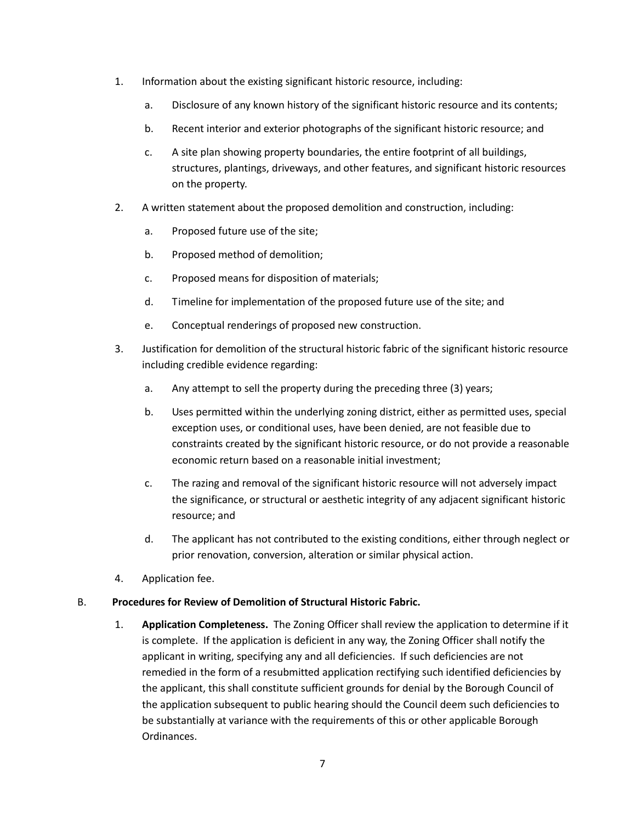- 1. Information about the existing significant historic resource, including:
	- a. Disclosure of any known history of the significant historic resource and its contents;
	- b. Recent interior and exterior photographs of the significant historic resource; and
	- c. A site plan showing property boundaries, the entire footprint of all buildings, structures, plantings, driveways, and other features, and significant historic resources on the property.
- 2. A written statement about the proposed demolition and construction, including:
	- a. Proposed future use of the site;
	- b. Proposed method of demolition;
	- c. Proposed means for disposition of materials;
	- d. Timeline for implementation of the proposed future use of the site; and
	- e. Conceptual renderings of proposed new construction.
- 3. Justification for demolition of the structural historic fabric of the significant historic resource including credible evidence regarding:
	- a. Any attempt to sell the property during the preceding three (3) years;
	- b. Uses permitted within the underlying zoning district, either as permitted uses, special exception uses, or conditional uses, have been denied, are not feasible due to constraints created by the significant historic resource, or do not provide a reasonable economic return based on a reasonable initial investment;
	- c. The razing and removal of the significant historic resource will not adversely impact the significance, or structural or aesthetic integrity of any adjacent significant historic resource; and
	- d. The applicant has not contributed to the existing conditions, either through neglect or prior renovation, conversion, alteration or similar physical action.
- 4. Application fee.

#### B. **Procedures for Review of Demolition of Structural Historic Fabric.**

1. **Application Completeness.** The Zoning Officer shall review the application to determine if it is complete. If the application is deficient in any way, the Zoning Officer shall notify the applicant in writing, specifying any and all deficiencies. If such deficiencies are not remedied in the form of a resubmitted application rectifying such identified deficiencies by the applicant, this shall constitute sufficient grounds for denial by the Borough Council of the application subsequent to public hearing should the Council deem such deficiencies to be substantially at variance with the requirements of this or other applicable Borough Ordinances.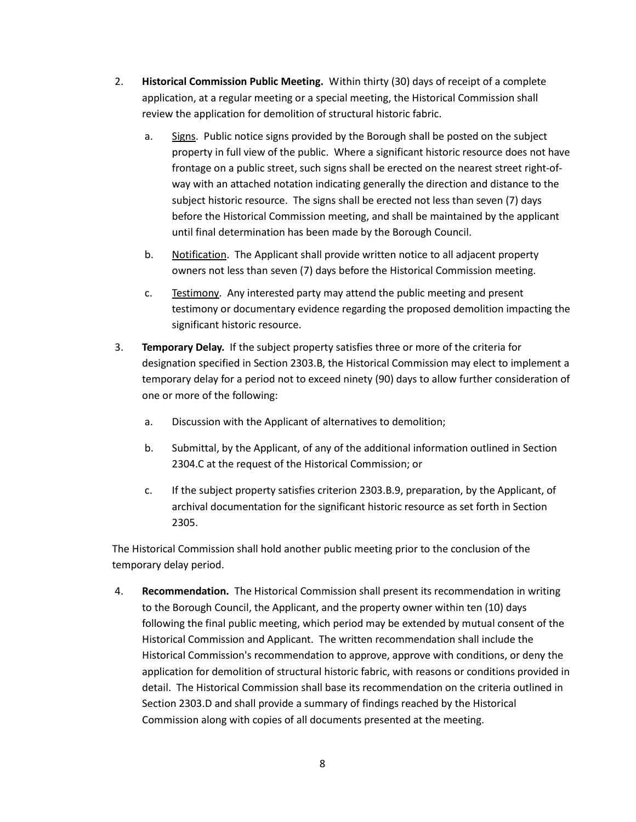- 2. **Historical Commission Public Meeting.** Within thirty (30) days of receipt of a complete application, at a regular meeting or a special meeting, the Historical Commission shall review the application for demolition of structural historic fabric.
	- a. Signs. Public notice signs provided by the Borough shall be posted on the subject property in full view of the public. Where a significant historic resource does not have frontage on a public street, such signs shall be erected on the nearest street right-ofway with an attached notation indicating generally the direction and distance to the subject historic resource. The signs shall be erected not less than seven (7) days before the Historical Commission meeting, and shall be maintained by the applicant until final determination has been made by the Borough Council.
	- b. Notification. The Applicant shall provide written notice to all adjacent property owners not less than seven (7) days before the Historical Commission meeting.
	- c. Testimony. Any interested party may attend the public meeting and present testimony or documentary evidence regarding the proposed demolition impacting the significant historic resource.
- 3. **Temporary Delay.** If the subject property satisfies three or more of the criteria for designation specified in Section 2303.B, the Historical Commission may elect to implement a temporary delay for a period not to exceed ninety (90) days to allow further consideration of one or more of the following:
	- a. Discussion with the Applicant of alternatives to demolition;
	- b. Submittal, by the Applicant, of any of the additional information outlined in Section 2304.C at the request of the Historical Commission; or
	- c. If the subject property satisfies criterion 2303.B.9, preparation, by the Applicant, of archival documentation for the significant historic resource as set forth in Section 2305.

The Historical Commission shall hold another public meeting prior to the conclusion of the temporary delay period.

4. **Recommendation.** The Historical Commission shall present its recommendation in writing to the Borough Council, the Applicant, and the property owner within ten (10) days following the final public meeting, which period may be extended by mutual consent of the Historical Commission and Applicant. The written recommendation shall include the Historical Commission's recommendation to approve, approve with conditions, or deny the application for demolition of structural historic fabric, with reasons or conditions provided in detail. The Historical Commission shall base its recommendation on the criteria outlined in Section 2303.D and shall provide a summary of findings reached by the Historical Commission along with copies of all documents presented at the meeting.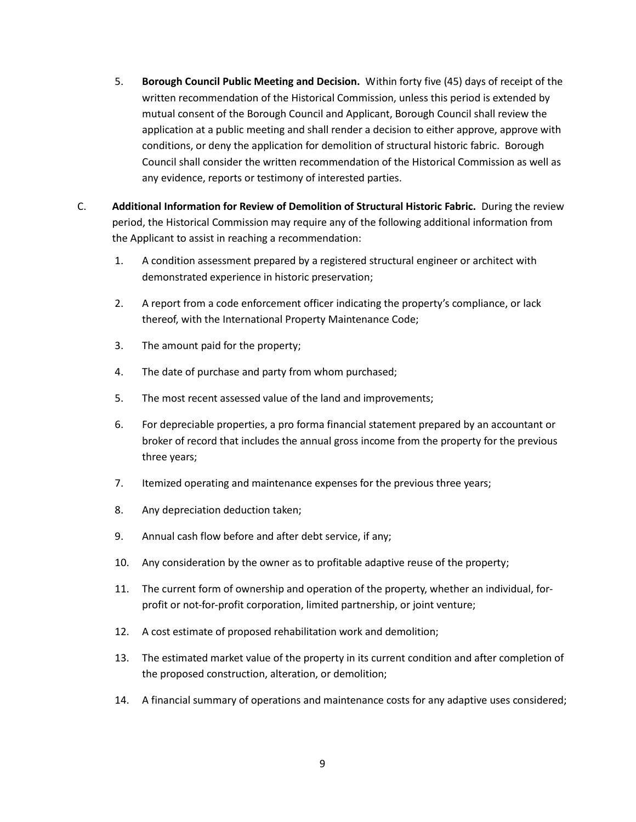- 5. **Borough Council Public Meeting and Decision.** Within forty five (45) days of receipt of the written recommendation of the Historical Commission, unless this period is extended by mutual consent of the Borough Council and Applicant, Borough Council shall review the application at a public meeting and shall render a decision to either approve, approve with conditions, or deny the application for demolition of structural historic fabric. Borough Council shall consider the written recommendation of the Historical Commission as well as any evidence, reports or testimony of interested parties.
- C. **Additional Information for Review of Demolition of Structural Historic Fabric.** During the review period, the Historical Commission may require any of the following additional information from the Applicant to assist in reaching a recommendation:
	- 1. A condition assessment prepared by a registered structural engineer or architect with demonstrated experience in historic preservation;
	- 2. A report from a code enforcement officer indicating the property's compliance, or lack thereof, with the International Property Maintenance Code;
	- 3. The amount paid for the property;
	- 4. The date of purchase and party from whom purchased;
	- 5. The most recent assessed value of the land and improvements;
	- 6. For depreciable properties, a pro forma financial statement prepared by an accountant or broker of record that includes the annual gross income from the property for the previous three years;
	- 7. Itemized operating and maintenance expenses for the previous three years;
	- 8. Any depreciation deduction taken;
	- 9. Annual cash flow before and after debt service, if any;
	- 10. Any consideration by the owner as to profitable adaptive reuse of the property;
	- 11. The current form of ownership and operation of the property, whether an individual, forprofit or not-for-profit corporation, limited partnership, or joint venture;
	- 12. A cost estimate of proposed rehabilitation work and demolition;
	- 13. The estimated market value of the property in its current condition and after completion of the proposed construction, alteration, or demolition;
	- 14. A financial summary of operations and maintenance costs for any adaptive uses considered;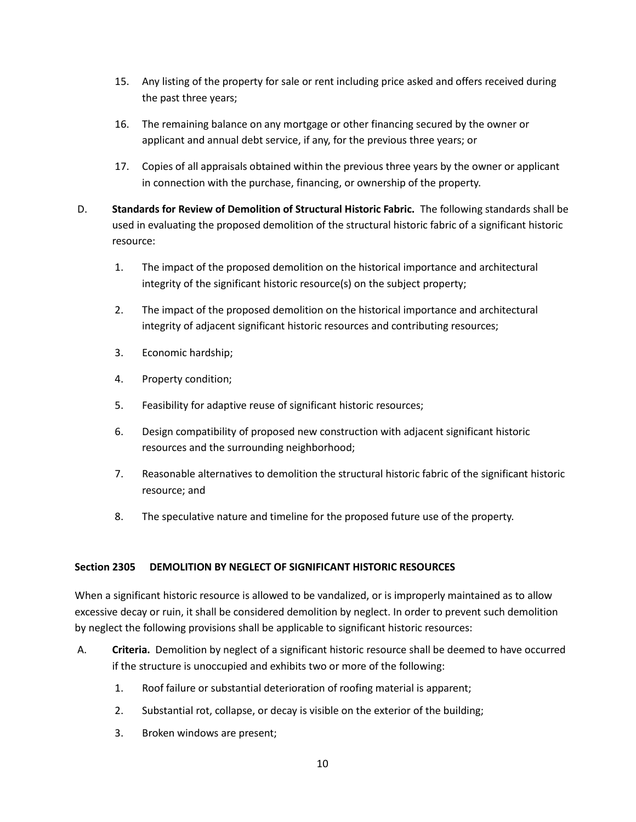- 15. Any listing of the property for sale or rent including price asked and offers received during the past three years;
- 16. The remaining balance on any mortgage or other financing secured by the owner or applicant and annual debt service, if any, for the previous three years; or
- 17. Copies of all appraisals obtained within the previous three years by the owner or applicant in connection with the purchase, financing, or ownership of the property.
- D. **Standards for Review of Demolition of Structural Historic Fabric.** The following standards shall be used in evaluating the proposed demolition of the structural historic fabric of a significant historic resource:
	- 1. The impact of the proposed demolition on the historical importance and architectural integrity of the significant historic resource(s) on the subject property;
	- 2. The impact of the proposed demolition on the historical importance and architectural integrity of adjacent significant historic resources and contributing resources;
	- 3. Economic hardship;
	- 4. Property condition;
	- 5. Feasibility for adaptive reuse of significant historic resources;
	- 6. Design compatibility of proposed new construction with adjacent significant historic resources and the surrounding neighborhood;
	- 7. Reasonable alternatives to demolition the structural historic fabric of the significant historic resource; and
	- 8. The speculative nature and timeline for the proposed future use of the property.

## **Section 2305 DEMOLITION BY NEGLECT OF SIGNIFICANT HISTORIC RESOURCES**

When a significant historic resource is allowed to be vandalized, or is improperly maintained as to allow excessive decay or ruin, it shall be considered demolition by neglect. In order to prevent such demolition by neglect the following provisions shall be applicable to significant historic resources:

- A. **Criteria.** Demolition by neglect of a significant historic resource shall be deemed to have occurred if the structure is unoccupied and exhibits two or more of the following:
	- 1. Roof failure or substantial deterioration of roofing material is apparent;
	- 2. Substantial rot, collapse, or decay is visible on the exterior of the building;
	- 3. Broken windows are present;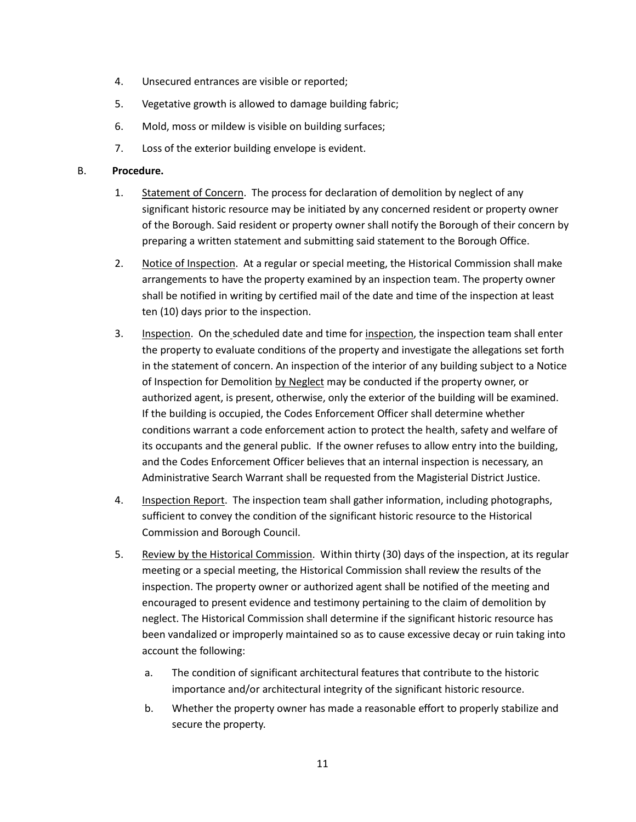- 4. Unsecured entrances are visible or reported;
- 5. Vegetative growth is allowed to damage building fabric;
- 6. Mold, moss or mildew is visible on building surfaces;
- 7. Loss of the exterior building envelope is evident.

#### B. **Procedure.**

- 1. Statement of Concern. The process for declaration of demolition by neglect of any significant historic resource may be initiated by any concerned resident or property owner of the Borough. Said resident or property owner shall notify the Borough of their concern by preparing a written statement and submitting said statement to the Borough Office.
- 2. Notice of Inspection. At a regular or special meeting, the Historical Commission shall make arrangements to have the property examined by an inspection team. The property owner shall be notified in writing by certified mail of the date and time of the inspection at least ten (10) days prior to the inspection.
- 3. Inspection. On the scheduled date and time for inspection, the inspection team shall enter the property to evaluate conditions of the property and investigate the allegations set forth in the statement of concern. An inspection of the interior of any building subject to a Notice of Inspection for Demolition by Neglect may be conducted if the property owner, or authorized agent, is present, otherwise, only the exterior of the building will be examined. If the building is occupied, the Codes Enforcement Officer shall determine whether conditions warrant a code enforcement action to protect the health, safety and welfare of its occupants and the general public. If the owner refuses to allow entry into the building, and the Codes Enforcement Officer believes that an internal inspection is necessary, an Administrative Search Warrant shall be requested from the Magisterial District Justice.
- 4. Inspection Report. The inspection team shall gather information, including photographs, sufficient to convey the condition of the significant historic resource to the Historical Commission and Borough Council.
- 5. Review by the Historical Commission. Within thirty (30) days of the inspection, at its regular meeting or a special meeting, the Historical Commission shall review the results of the inspection. The property owner or authorized agent shall be notified of the meeting and encouraged to present evidence and testimony pertaining to the claim of demolition by neglect. The Historical Commission shall determine if the significant historic resource has been vandalized or improperly maintained so as to cause excessive decay or ruin taking into account the following:
	- a. The condition of significant architectural features that contribute to the historic importance and/or architectural integrity of the significant historic resource.
	- b. Whether the property owner has made a reasonable effort to properly stabilize and secure the property.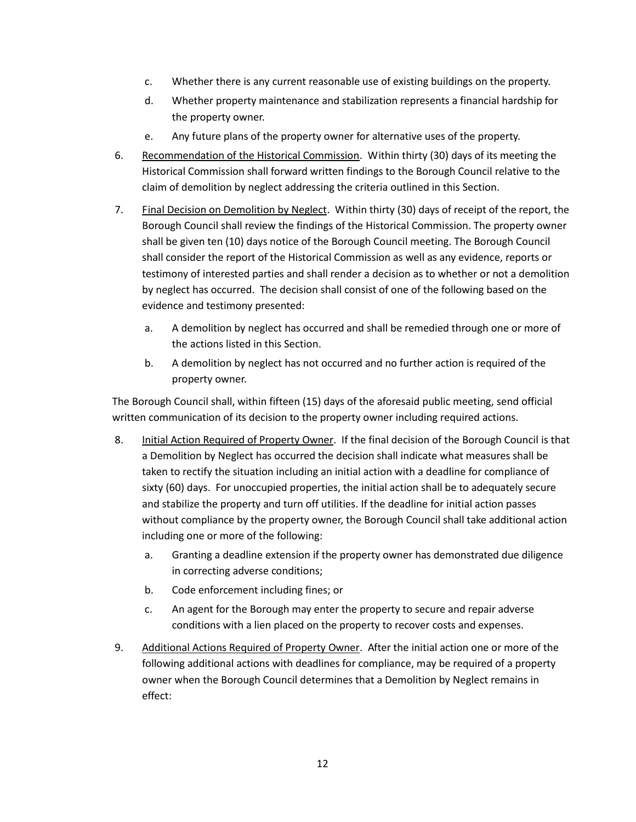- c. Whether there is any current reasonable use of existing buildings on the property.
- d. Whether property maintenance and stabilization represents a financial hardship for the property owner.
- e. Any future plans of the property owner for alternative uses of the property.
- 6. Recommendation of the Historical Commission. Within thirty (30) days of its meeting the Historical Commission shall forward written findings to the Borough Council relative to the claim of demolition by neglect addressing the criteria outlined in this Section.
- 7. Final Decision on Demolition by Neglect. Within thirty (30) days of receipt of the report, the Borough Council shall review the findings of the Historical Commission. The property owner shall be given ten (10) days notice of the Borough Council meeting. The Borough Council shall consider the report of the Historical Commission as well as any evidence, reports or testimony of interested parties and shall render a decision as to whether or not a demolition by neglect has occurred. The decision shall consist of one of the following based on the evidence and testimony presented:
	- a. A demolition by neglect has occurred and shall be remedied through one or more of the actions listed in this Section.
	- b. A demolition by neglect has not occurred and no further action is required of the property owner.

The Borough Council shall, within fifteen (15) days of the aforesaid public meeting, send official written communication of its decision to the property owner including required actions.

- 8. Initial Action Required of Property Owner. If the final decision of the Borough Council is that a Demolition by Neglect has occurred the decision shall indicate what measures shall be taken to rectify the situation including an initial action with a deadline for compliance of sixty (60) days. For unoccupied properties, the initial action shall be to adequately secure and stabilize the property and turn off utilities. If the deadline for initial action passes without compliance by the property owner, the Borough Council shall take additional action including one or more of the following:
	- a. Granting a deadline extension if the property owner has demonstrated due diligence in correcting adverse conditions;
	- b. Code enforcement including fines; or
	- c. An agent for the Borough may enter the property to secure and repair adverse conditions with a lien placed on the property to recover costs and expenses.
- 9. Additional Actions Required of Property Owner. After the initial action one or more of the following additional actions with deadlines for compliance, may be required of a property owner when the Borough Council determines that a Demolition by Neglect remains in effect: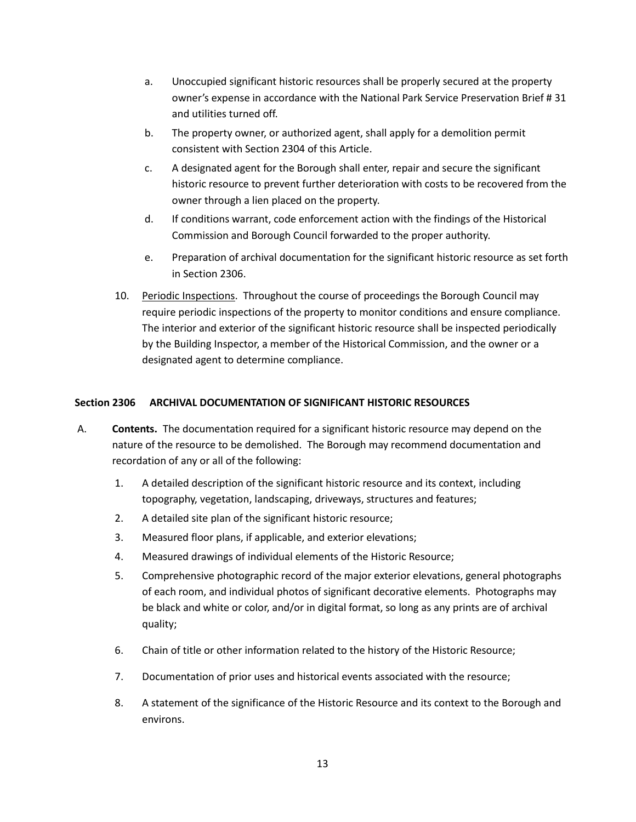- a. Unoccupied significant historic resources shall be properly secured at the property owner's expense in accordance with the National Park Service Preservation Brief # 31 and utilities turned off.
- b. The property owner, or authorized agent, shall apply for a demolition permit consistent with Section 2304 of this Article.
- c. A designated agent for the Borough shall enter, repair and secure the significant historic resource to prevent further deterioration with costs to be recovered from the owner through a lien placed on the property.
- d. If conditions warrant, code enforcement action with the findings of the Historical Commission and Borough Council forwarded to the proper authority.
- e. Preparation of archival documentation for the significant historic resource as set forth in Section 2306.
- 10. Periodic Inspections. Throughout the course of proceedings the Borough Council may require periodic inspections of the property to monitor conditions and ensure compliance. The interior and exterior of the significant historic resource shall be inspected periodically by the Building Inspector, a member of the Historical Commission, and the owner or a designated agent to determine compliance.

## **Section 2306 ARCHIVAL DOCUMENTATION OF SIGNIFICANT HISTORIC RESOURCES**

- A. **Contents.** The documentation required for a significant historic resource may depend on the nature of the resource to be demolished. The Borough may recommend documentation and recordation of any or all of the following:
	- 1. A detailed description of the significant historic resource and its context, including topography, vegetation, landscaping, driveways, structures and features;
	- 2. A detailed site plan of the significant historic resource;
	- 3. Measured floor plans, if applicable, and exterior elevations;
	- 4. Measured drawings of individual elements of the Historic Resource;
	- 5. Comprehensive photographic record of the major exterior elevations, general photographs of each room, and individual photos of significant decorative elements. Photographs may be black and white or color, and/or in digital format, so long as any prints are of archival quality;
	- 6. Chain of title or other information related to the history of the Historic Resource;
	- 7. Documentation of prior uses and historical events associated with the resource;
	- 8. A statement of the significance of the Historic Resource and its context to the Borough and environs.